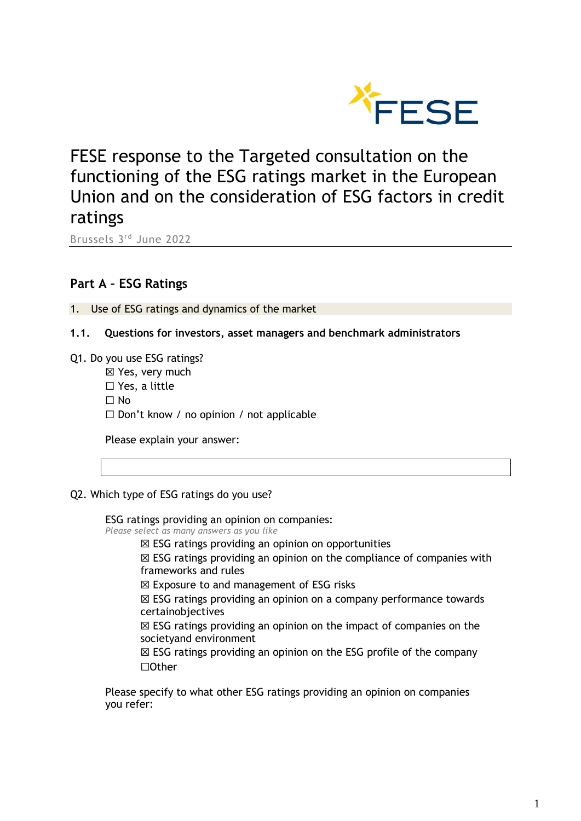

FESE response to the Targeted consultation on the functioning of the ESG ratings market in the European Union and on the consideration of ESG factors in credit ratings

Brussels 3 rd June 2022

# **Part A – ESG Ratings**

1. Use of ESG ratings and dynamics of the market

- **1.1. Questions for investors, asset managers and benchmark administrators**
- Q1. Do you use ESG ratings?
	- ☒ Yes, very much ☐ Yes, a little  $\Box$  No  $\Box$  Don't know / no opinion / not applicable

Please explain your answer:

### Q2. Which type of ESG ratings do you use?

ESG ratings providing an opinion on companies: *Please select as many answers as you like*

- $\boxtimes$  ESG ratings providing an opinion on opportunities
- ☒ ESG ratings providing an opinion on the compliance of companies with frameworks and rules

☒ Exposure to and management of ESG risks

☒ ESG ratings providing an opinion on a company performance towards certainobjectives

 $\boxtimes$  ESG ratings providing an opinion on the impact of companies on the societyand environment

☒ ESG ratings providing an opinion on the ESG profile of the company ☐Other

Please specify to what other ESG ratings providing an opinion on companies you refer: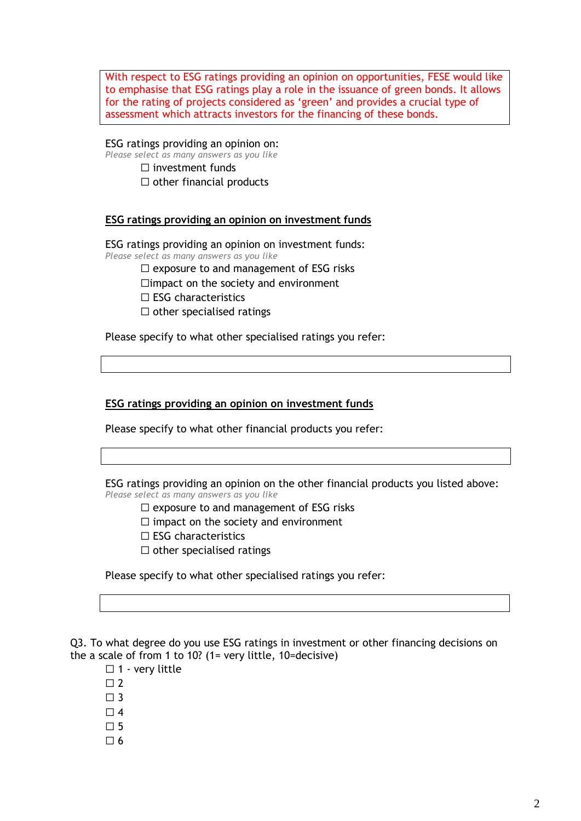With respect to ESG ratings providing an opinion on opportunities, FESE would like to emphasise that ESG ratings play a role in the issuance of green bonds. It allows for the rating of projects considered as 'green' and provides a crucial type of assessment which attracts investors for the financing of these bonds.

ESG ratings providing an opinion on: *Please select as many answers as you like* ☐ investment funds

 $\Box$  other financial products

# **ESG ratings providing an opinion on investment funds**

ESG ratings providing an opinion on investment funds: *Please select as many answers as you like*

☐ exposure to and management of ESG risks

□impact on the society and environment

- ☐ ESG characteristics
- $\Box$  other specialised ratings

Please specify to what other specialised ratings you refer:

# **ESG ratings providing an opinion on investment funds**

Please specify to what other financial products you refer:

ESG ratings providing an opinion on the other financial products you listed above: *Please select as many answers as you like*

 $\Box$  exposure to and management of ESG risks

 $\Box$  impact on the society and environment

- ☐ ESG characteristics
- $\Box$  other specialised ratings

Please specify to what other specialised ratings you refer:

Q3. To what degree do you use ESG ratings in investment or other financing decisions on the a scale of from 1 to 10? (1= very little, 10=decisive)

□ 1 - very little

- $\square$  2
- $\Box$  3

 $\Box$  4

- $\Box$  5
- $\Box$  6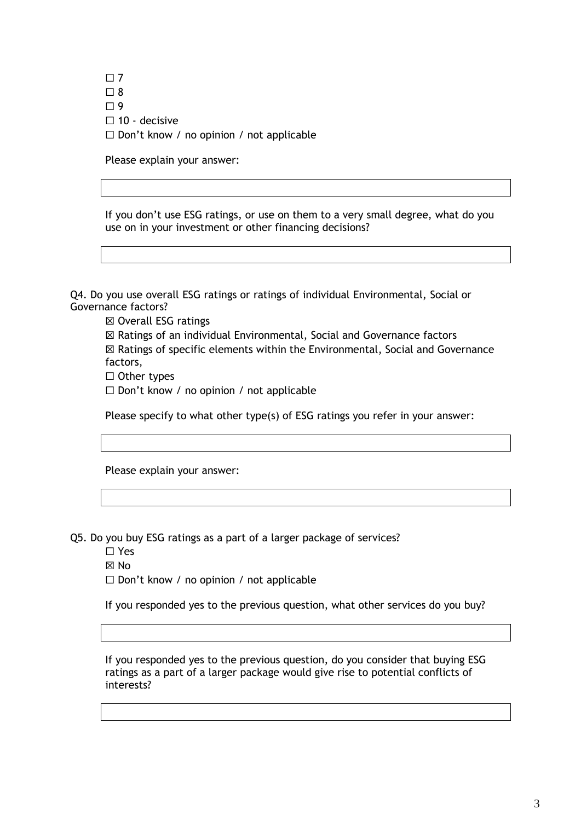$\Box$  7  $\square$  8  $\Box$  9  $\Box$  10 - decisive  $\Box$  Don't know / no opinion / not applicable

Please explain your answer:

If you don't use ESG ratings, or use on them to a very small degree, what do you use on in your investment or other financing decisions?

Q4. Do you use overall ESG ratings or ratings of individual Environmental, Social or Governance factors?

☒ Overall ESG ratings

☒ Ratings of an individual Environmental, Social and Governance factors ☒ Ratings of specific elements within the Environmental, Social and Governance factors,

☐ Other types

☐ Don't know / no opinion / not applicable

Please specify to what other type(s) of ESG ratings you refer in your answer:

Please explain your answer:

Q5. Do you buy ESG ratings as a part of a larger package of services?

☐ Yes

☒ No

☐ Don't know / no opinion / not applicable

If you responded yes to the previous question, what other services do you buy?

If you responded yes to the previous question, do you consider that buying ESG ratings as a part of a larger package would give rise to potential conflicts of interests?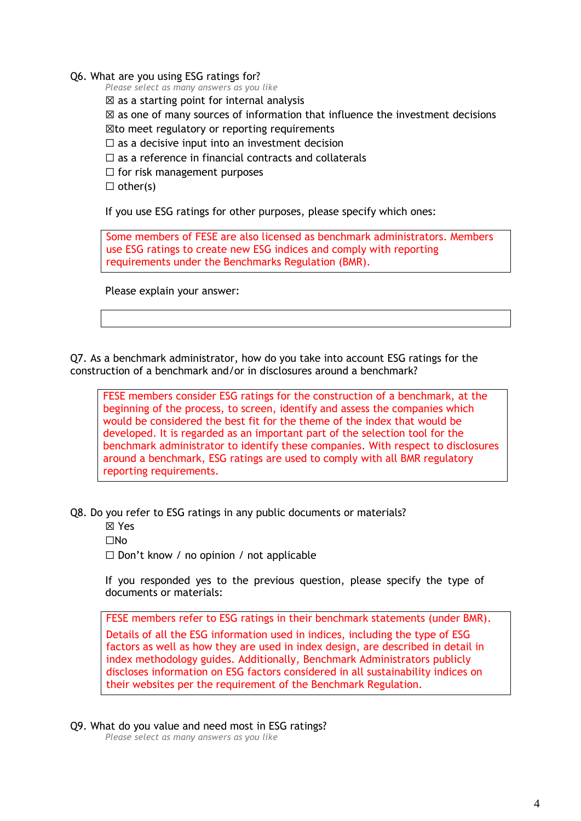Q6. What are you using ESG ratings for?

*Please select as many answers as you like*

 $\boxtimes$  as a starting point for internal analysis

 $\boxtimes$  as one of many sources of information that influence the investment decisions

☒to meet regulatory or reporting requirements

 $\Box$  as a decisive input into an investment decision

 $\Box$  as a reference in financial contracts and collaterals

 $\Box$  for risk management purposes

 $\Box$  other(s)

If you use ESG ratings for other purposes, please specify which ones:

Some members of FESE are also licensed as benchmark administrators. Members use ESG ratings to create new ESG indices and comply with reporting requirements under the Benchmarks Regulation (BMR).

Please explain your answer:

Q7. As a benchmark administrator, how do you take into account ESG ratings for the construction of a benchmark and/or in disclosures around a benchmark?

FESE members consider ESG ratings for the construction of a benchmark, at the beginning of the process, to screen, identify and assess the companies which would be considered the best fit for the theme of the index that would be developed. It is regarded as an important part of the selection tool for the benchmark administrator to identify these companies. With respect to disclosures around a benchmark, ESG ratings are used to comply with all BMR regulatory reporting requirements.

Q8. Do you refer to ESG ratings in any public documents or materials?

☒ Yes

☐No

 $\Box$  Don't know / no opinion / not applicable

If you responded yes to the previous question, please specify the type of documents or materials:

FESE members refer to ESG ratings in their benchmark statements (under BMR). Details of all the ESG information used in indices, including the type of ESG factors as well as how they are used in index design, are described in detail in index methodology guides. Additionally, Benchmark Administrators publicly discloses information on ESG factors considered in all sustainability indices on their websites per the requirement of the Benchmark Regulation.

Q9. What do you value and need most in ESG ratings?

*Please select as many answers as you like*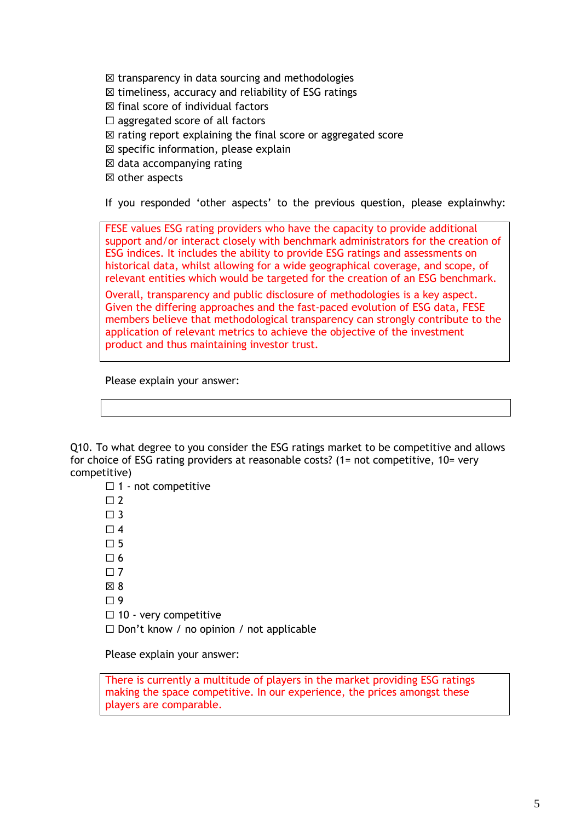$\boxtimes$  transparency in data sourcing and methodologies

- $\boxtimes$  timeliness, accuracy and reliability of ESG ratings
- $\boxtimes$  final score of individual factors
- $\Box$  aggregated score of all factors
- $\boxtimes$  rating report explaining the final score or aggregated score
- $\boxtimes$  specific information, please explain
- $\boxtimes$  data accompanying rating
- ☒ other aspects

If you responded 'other aspects' to the previous question, please explainwhy:

FESE values ESG rating providers who have the capacity to provide additional support and/or interact closely with benchmark administrators for the creation of ESG indices. It includes the ability to provide ESG ratings and assessments on historical data, whilst allowing for a wide geographical coverage, and scope, of relevant entities which would be targeted for the creation of an ESG benchmark.

Overall, transparency and public disclosure of methodologies is a key aspect. Given the differing approaches and the fast-paced evolution of ESG data, FESE members believe that methodological transparency can strongly contribute to the application of relevant metrics to achieve the objective of the investment product and thus maintaining investor trust.

Please explain your answer:

Q10. To what degree to you consider the ESG ratings market to be competitive and allows for choice of ESG rating providers at reasonable costs? (1= not competitive, 10= very competitive)

□ 1 - not competitive

 $\Box$  2

 $\Box$  3

 $\Box$  4

 $\Pi$  5

 $\Box$  6

 $\Box$  7

- $\boxtimes$  8
- $\square$  9
- ☐ 10 very competitive

 $\Box$  Don't know / no opinion / not applicable

Please explain your answer:

There is currently a multitude of players in the market providing ESG ratings making the space competitive. In our experience, the prices amongst these players are comparable.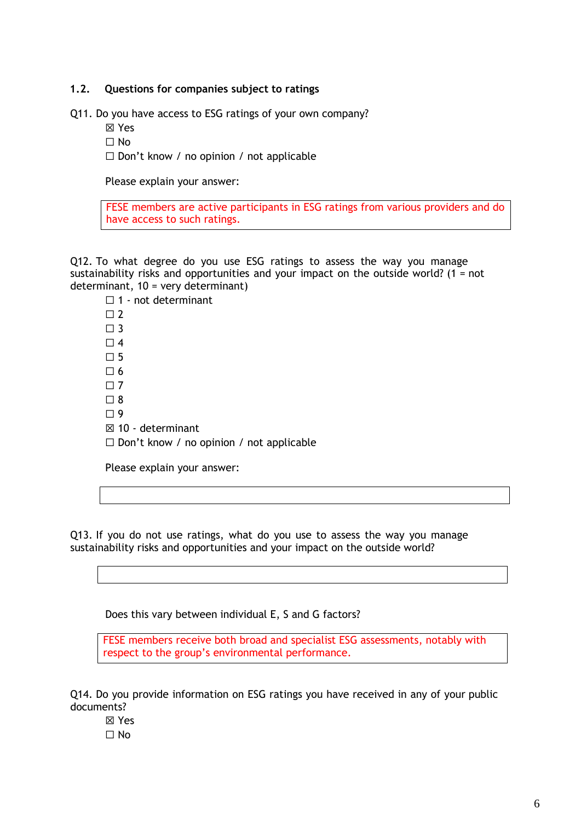# **1.2. Questions for companies subject to ratings**

Q11. Do you have access to ESG ratings of your own company?

- ☒ Yes
- ☐ No

 $\Box$  Don't know / no opinion / not applicable

Please explain your answer:

FESE members are active participants in ESG ratings from various providers and do have access to such ratings.

Q12. To what degree do you use ESG ratings to assess the way you manage sustainability risks and opportunities and your impact on the outside world? (1 = not determinant, 10 = very determinant)

□ 1 - not determinant  $\Box$  2  $\square$  3  $\Box$  4  $\square$  5  $\Box$  6  $\square$  7  $\square$  8  $\Box$  9 ☒ 10 - determinant  $\Box$  Don't know / no opinion / not applicable

Please explain your answer:

Q13. If you do not use ratings, what do you use to assess the way you manage sustainability risks and opportunities and your impact on the outside world?

Does this vary between individual E, S and G factors?

FESE members receive both broad and specialist ESG assessments, notably with respect to the group's environmental performance.

Q14. Do you provide information on ESG ratings you have received in any of your public documents?

- ☒ Yes
- $\Box$  No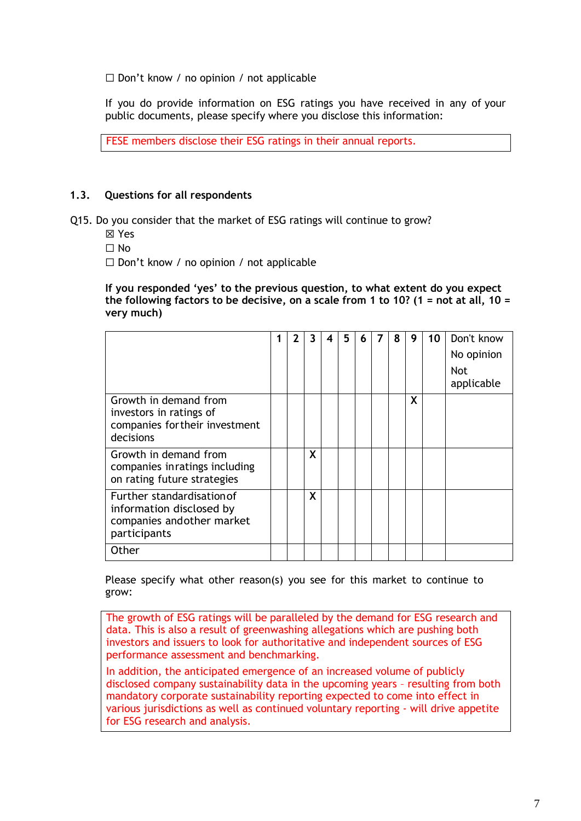☐ Don't know / no opinion / not applicable

If you do provide information on ESG ratings you have received in any of your public documents, please specify where you disclose this information:

FESE members disclose their ESG ratings in their annual reports.

# **1.3. Questions for all respondents**

- Q15. Do you consider that the market of ESG ratings will continue to grow?
	- ☒ Yes
	- ☐ No
	- ☐ Don't know / no opinion / not applicable

**If you responded 'yes' to the previous question, to what extent do you expect the following factors to be decisive, on a scale from 1 to 10? (1 = not at all, 10 = very much)**

|                                                                                                      | 2 | 3 | 4 | 5 | 6 | 7 | 8 | 9 | 10 | Don't know<br>No opinion<br><b>Not</b><br>applicable |
|------------------------------------------------------------------------------------------------------|---|---|---|---|---|---|---|---|----|------------------------------------------------------|
| Growth in demand from<br>investors in ratings of<br>companies for their investment<br>decisions      |   |   |   |   |   |   |   | X |    |                                                      |
| Growth in demand from<br>companies inratings including<br>on rating future strategies                |   | X |   |   |   |   |   |   |    |                                                      |
| Further standardisation of<br>information disclosed by<br>companies and other market<br>participants |   | X |   |   |   |   |   |   |    |                                                      |
| Other                                                                                                |   |   |   |   |   |   |   |   |    |                                                      |

Please specify what other reason(s) you see for this market to continue to grow:

The growth of ESG ratings will be paralleled by the demand for ESG research and data. This is also a result of greenwashing allegations which are pushing both investors and issuers to look for authoritative and independent sources of ESG performance assessment and benchmarking.

In addition, the anticipated emergence of an increased volume of publicly disclosed company sustainability data in the upcoming years – resulting from both mandatory corporate sustainability reporting expected to come into effect in various jurisdictions as well as continued voluntary reporting - will drive appetite for ESG research and analysis.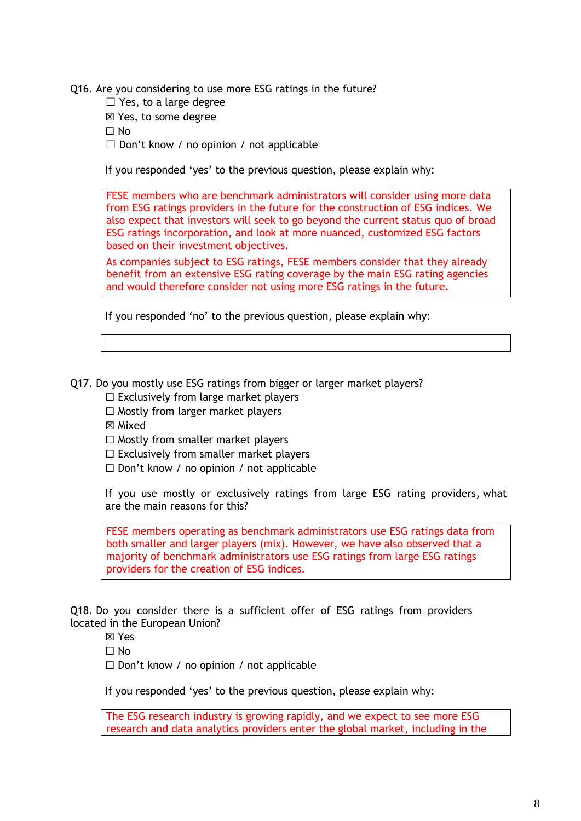Q16. Are you considering to use more ESG ratings in the future?

 $\Box$  Yes, to a large degree

☒ Yes, to some degree

☐ No

 $\Box$  Don't know / no opinion / not applicable

If you responded 'yes' to the previous question, please explain why:

FESE members who are benchmark administrators will consider using more data from ESG ratings providers in the future for the construction of ESG indices. We also expect that investors will seek to go beyond the current status quo of broad ESG ratings incorporation, and look at more nuanced, customized ESG factors based on their investment objectives.

As companies subject to ESG ratings, FESE members consider that they already benefit from an extensive ESG rating coverage by the main ESG rating agencies and would therefore consider not using more ESG ratings in the future.

If you responded 'no' to the previous question, please explain why:

Q17. Do you mostly use ESG ratings from bigger or larger market players?

- $\Box$  Exclusively from large market players
- $\Box$  Mostly from larger market players
- ☒ Mixed

 $\Box$  Mostly from smaller market players

 $\Box$  Exclusively from smaller market players

 $\Box$  Don't know / no opinion / not applicable

If you use mostly or exclusively ratings from large ESG rating providers, what are the main reasons for this?

FESE members operating as benchmark administrators use ESG ratings data from both smaller and larger players (mix). However, we have also observed that a majority of benchmark administrators use ESG ratings from large ESG ratings providers for the creation of ESG indices.

Q18. Do you consider there is a sufficient offer of ESG ratings from providers located in the European Union?

☒ Yes

 $\Box$  No

☐ Don't know / no opinion / not applicable

If you responded 'yes' to the previous question, please explain why:

The ESG research industry is growing rapidly, and we expect to see more ESG research and data analytics providers enter the global market, including in the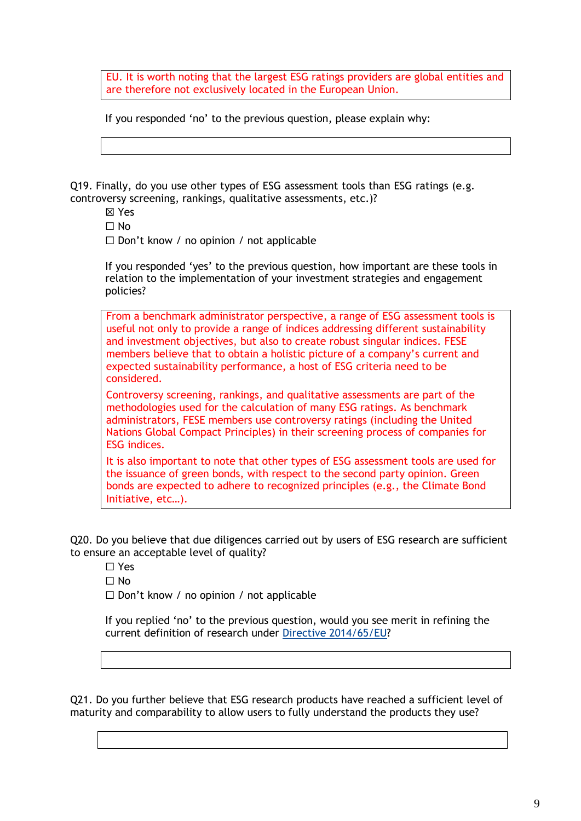EU. It is worth noting that the largest ESG ratings providers are global entities and are therefore not exclusively located in the European Union.

If you responded 'no' to the previous question, please explain why:

Q19. Finally, do you use other types of ESG assessment tools than ESG ratings (e.g. controversy screening, rankings, qualitative assessments, etc.)?

- ☒ Yes
- ☐ No

 $\Box$  Don't know / no opinion / not applicable

If you responded 'yes' to the previous question, how important are these tools in relation to the implementation of your investment strategies and engagement policies?

From a benchmark administrator perspective, a range of ESG assessment tools is useful not only to provide a range of indices addressing different sustainability and investment objectives, but also to create robust singular indices. FESE members believe that to obtain a holistic picture of a company's current and expected sustainability performance, a host of ESG criteria need to be considered.

Controversy screening, rankings, and qualitative assessments are part of the methodologies used for the calculation of many ESG ratings. As benchmark administrators, FESE members use controversy ratings (including the United Nations Global Compact Principles) in their screening process of companies for ESG indices.

It is also important to note that other types of ESG assessment tools are used for the issuance of green bonds, with respect to the second party opinion. Green bonds are expected to adhere to recognized principles (e.g., the Climate Bond Initiative, etc…).

Q20. Do you believe that due diligences carried out by users of ESG research are sufficient to ensure an acceptable level of quality?

☐ Yes

 $\Box$  No

☐ Don't know / no opinion / not applicable

If you replied 'no' to the previous question, would you see merit in refining the current definition of research under [Directive 2014/65/EU?](https://eur-lex.europa.eu/legal-content/EN/TXT/?uri=CELEX%3A32014L0065)

Q21. Do you further believe that ESG research products have reached a sufficient level of maturity and comparability to allow users to fully understand the products they use?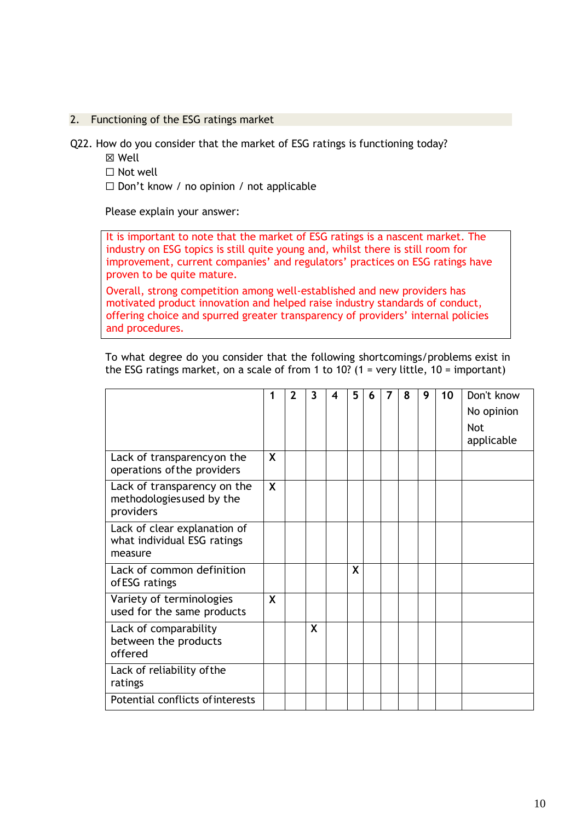### 2. Functioning of the ESG ratings market

Q22. How do you consider that the market of ESG ratings is functioning today?

- ☒ Well
- ☐ Not well

☐ Don't know / no opinion / not applicable

Please explain your answer:

It is important to note that the market of ESG ratings is a nascent market. The industry on ESG topics is still quite young and, whilst there is still room for improvement, current companies' and regulators' practices on ESG ratings have proven to be quite mature.

Overall, strong competition among well-established and new providers has motivated product innovation and helped raise industry standards of conduct, offering choice and spurred greater transparency of providers' internal policies and procedures.

|                                                                        | 1        | $\mathbf{2}$ | 3 | 4 | 5. | 6 | 7 | 8 | 9 | 10 | Don't know<br>No opinion<br><b>Not</b><br>applicable |
|------------------------------------------------------------------------|----------|--------------|---|---|----|---|---|---|---|----|------------------------------------------------------|
| Lack of transparency on the<br>operations of the providers             | X        |              |   |   |    |   |   |   |   |    |                                                      |
| Lack of transparency on the<br>methodologies used by the<br>providers  | <b>X</b> |              |   |   |    |   |   |   |   |    |                                                      |
| Lack of clear explanation of<br>what individual ESG ratings<br>measure |          |              |   |   |    |   |   |   |   |    |                                                      |
| Lack of common definition<br>of ESG ratings                            |          |              |   |   | X  |   |   |   |   |    |                                                      |
| Variety of terminologies<br>used for the same products                 | X        |              |   |   |    |   |   |   |   |    |                                                      |
| Lack of comparability<br>between the products<br>offered               |          |              | X |   |    |   |   |   |   |    |                                                      |
| Lack of reliability of the<br>ratings                                  |          |              |   |   |    |   |   |   |   |    |                                                      |
| Potential conflicts of interests                                       |          |              |   |   |    |   |   |   |   |    |                                                      |

To what degree do you consider that the following shortcomings/problems exist in the ESG ratings market, on a scale of from 1 to 10? (1 = very little, 10 = important)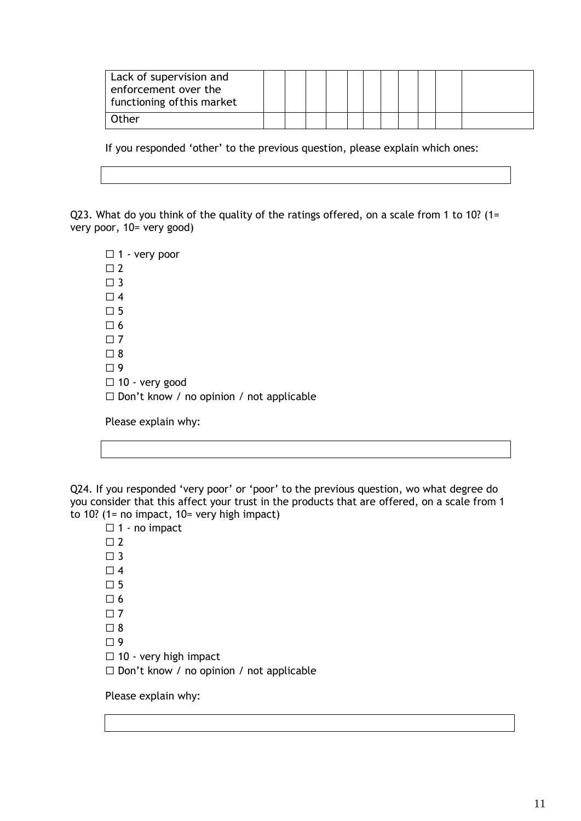| Lack of supervision and<br>enforcement over the<br>functioning of this market |  |  |  |  |  |  |
|-------------------------------------------------------------------------------|--|--|--|--|--|--|
| Other                                                                         |  |  |  |  |  |  |

If you responded 'other' to the previous question, please explain which ones:

Q23. What do you think of the quality of the ratings offered, on a scale from 1 to 10? (1= very poor, 10= very good)

□ 1 - very poor  $\square$  2  $\Box$  3  $\Box$  4  $\square$  5  $\square$  6  $\Box$  7  $\Box$  8  $\square$  9  $\Box$  10 - very good ☐ Don't know / no opinion / not applicable

Please explain why:

Q24. If you responded 'very poor' or 'poor' to the previous question, wo what degree do you consider that this affect your trust in the products that are offered, on a scale from 1 to 10? (1= no impact,  $10=$  very high impact)

 $\Box$  1 - no impact  $\Box$  2  $\Box$  3  $\Box$  4  $\square$  5  $\square$  6  $\square$  7  $\Box$  8  $\square$  9 □ 10 - very high impact ☐ Don't know / no opinion / not applicable

Please explain why: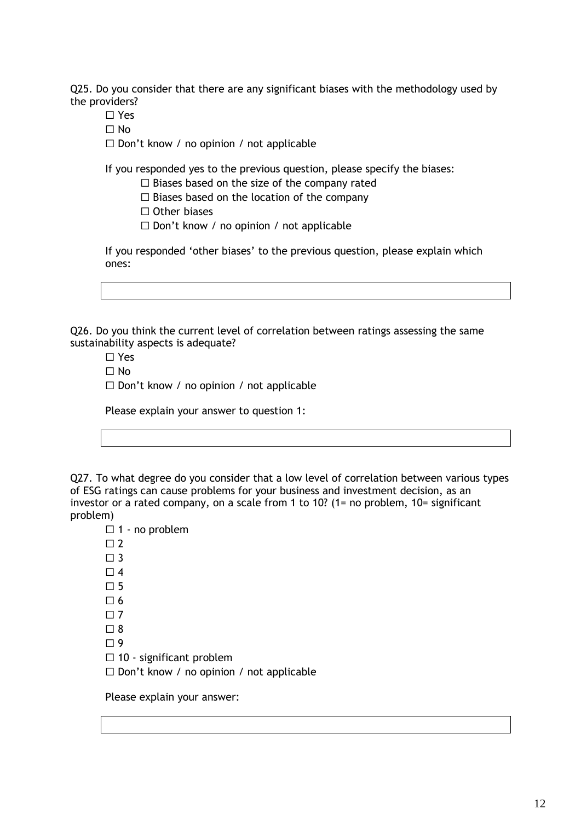Q25. Do you consider that there are any significant biases with the methodology used by the providers?

- ☐ Yes
- $\Box$  No

☐ Don't know / no opinion / not applicable

If you responded yes to the previous question, please specify the biases:

 $\Box$  Biases based on the size of the company rated

- $\Box$  Biases based on the location of the company
- ☐ Other biases
- ☐ Don't know / no opinion / not applicable

If you responded 'other biases' to the previous question, please explain which ones:

Q26. Do you think the current level of correlation between ratings assessing the same sustainability aspects is adequate?

☐ Yes

- $\Box$  No
- ☐ Don't know / no opinion / not applicable

|  |  |  |  |  | Please explain your answer to question 1: |  |
|--|--|--|--|--|-------------------------------------------|--|
|--|--|--|--|--|-------------------------------------------|--|

Q27. To what degree do you consider that a low level of correlation between various types of ESG ratings can cause problems for your business and investment decision, as an investor or a rated company, on a scale from 1 to 10? (1= no problem, 10= significant problem)

 $\Box$  1 - no problem  $\square$  2  $\square$  3  $\Box$  4  $\Pi$  5  $\Box$  6  $\Box$  7  $\Box$  8  $\Box$  9  $\Box$  10 - significant problem ☐ Don't know / no opinion / not applicable

Please explain your answer: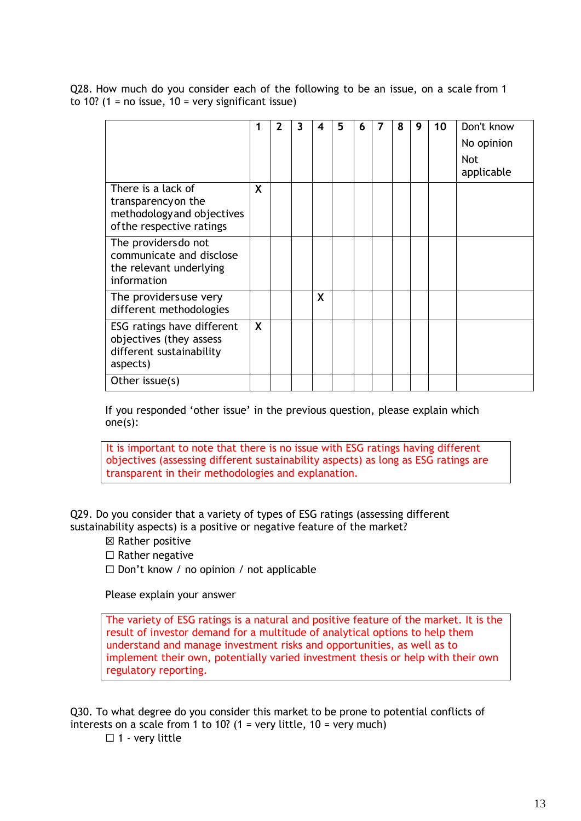Q28. How much do you consider each of the following to be an issue, on a scale from 1 to 10? (1 = no issue,  $10 = \text{very significant issue}$ )

|                                                                                                      |              | $\mathbf 2$ | 3 | 4 | 5 | 6 | 7 | 8 | 9 | 10 | Don't know<br>No opinion<br><b>Not</b><br>applicable |
|------------------------------------------------------------------------------------------------------|--------------|-------------|---|---|---|---|---|---|---|----|------------------------------------------------------|
| There is a lack of<br>transparency on the<br>methodology and objectives<br>of the respective ratings | X            |             |   |   |   |   |   |   |   |    |                                                      |
| The providers do not<br>communicate and disclose<br>the relevant underlying<br>information           |              |             |   |   |   |   |   |   |   |    |                                                      |
| The providersuse very<br>different methodologies                                                     |              |             |   | X |   |   |   |   |   |    |                                                      |
| ESG ratings have different<br>objectives (they assess<br>different sustainability<br>aspects)        | $\mathsf{X}$ |             |   |   |   |   |   |   |   |    |                                                      |
| Other issue(s)                                                                                       |              |             |   |   |   |   |   |   |   |    |                                                      |

If you responded 'other issue' in the previous question, please explain which one(s):

It is important to note that there is no issue with ESG ratings having different objectives (assessing different sustainability aspects) as long as ESG ratings are transparent in their methodologies and explanation.

Q29. Do you consider that a variety of types of ESG ratings (assessing different sustainability aspects) is a positive or negative feature of the market?

☒ Rather positive

 $\Box$  Rather negative

☐ Don't know / no opinion / not applicable

Please explain your answer

The variety of ESG ratings is a natural and positive feature of the market. It is the result of investor demand for a multitude of analytical options to help them understand and manage investment risks and opportunities, as well as to implement their own, potentially varied investment thesis or help with their own regulatory reporting.

Q30. To what degree do you consider this market to be prone to potential conflicts of interests on a scale from 1 to 10? (1 = very little, 10 = very much)

 $\Box$  1 - very little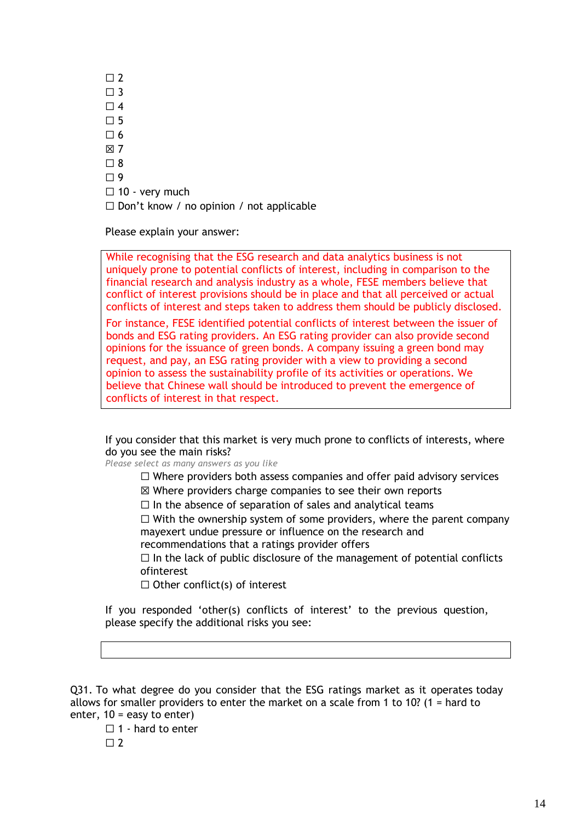$\Box$  2  $\square$  3  $\Box$  4  $\Pi$  5  $\Box$  6 ☒ 7  $\Box$  8  $\Box$  9  $\Box$  10 - very much ☐ Don't know / no opinion / not applicable

Please explain your answer:

While recognising that the ESG research and data analytics business is not uniquely prone to potential conflicts of interest, including in comparison to the financial research and analysis industry as a whole, FESE members believe that conflict of interest provisions should be in place and that all perceived or actual conflicts of interest and steps taken to address them should be publicly disclosed.

For instance, FESE identified potential conflicts of interest between the issuer of bonds and ESG rating providers. An ESG rating provider can also provide second opinions for the issuance of green bonds. A company issuing a green bond may request, and pay, an ESG rating provider with a view to providing a second opinion to assess the sustainability profile of its activities or operations. We believe that Chinese wall should be introduced to prevent the emergence of conflicts of interest in that respect.

If you consider that this market is very much prone to conflicts of interests, where do you see the main risks?

*Please select as many answers as you like*

- $\Box$  Where providers both assess companies and offer paid advisory services
- ☒ Where providers charge companies to see their own reports
- $\Box$  In the absence of separation of sales and analytical teams

 $\Box$  With the ownership system of some providers, where the parent company mayexert undue pressure or influence on the research and

recommendations that a ratings provider offers

 $\Box$  In the lack of public disclosure of the management of potential conflicts ofinterest

 $\Box$  Other conflict(s) of interest

If you responded 'other(s) conflicts of interest' to the previous question, please specify the additional risks you see:

Q31. To what degree do you consider that the ESG ratings market as it operates today allows for smaller providers to enter the market on a scale from 1 to 10? (1 = hard to enter,  $10 = e$  asy to enter)

 $\Box$  1 - hard to enter

 $\Box$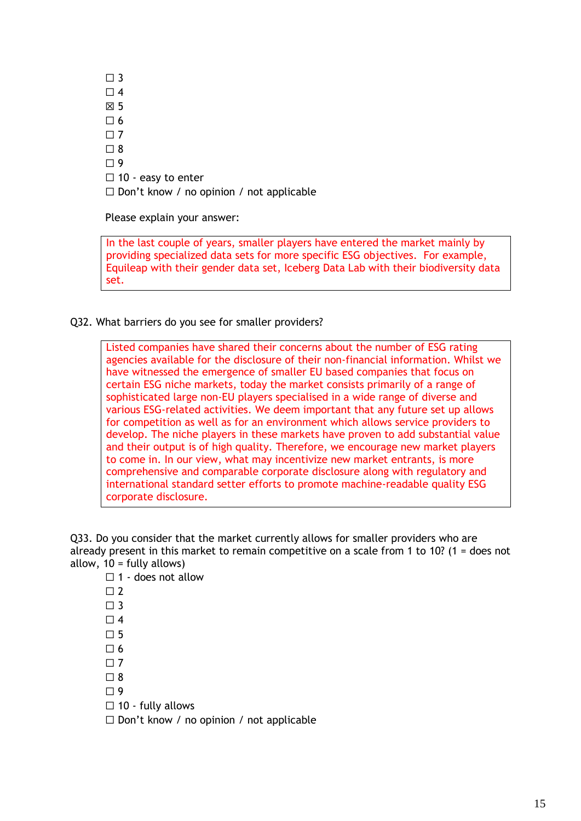$\Box$  3  $\Box$  4 ☒ 5  $\Box$  6  $\Box$  7  $\square$  8  $\Box$  9 □ 10 - easy to enter ☐ Don't know / no opinion / not applicable

Please explain your answer:

In the last couple of years, smaller players have entered the market mainly by providing specialized data sets for more specific ESG objectives. For example, Equileap with their gender data set, Iceberg Data Lab with their biodiversity data set.

Q32. What barriers do you see for smaller providers?

Listed companies have shared their concerns about the number of ESG rating agencies available for the disclosure of their non-financial information. Whilst we have witnessed the emergence of smaller EU based companies that focus on certain ESG niche markets, today the market consists primarily of a range of sophisticated large non-EU players specialised in a wide range of diverse and various ESG-related activities. We deem important that any future set up allows for competition as well as for an environment which allows service providers to develop. The niche players in these markets have proven to add substantial value and their output is of high quality. Therefore, we encourage new market players to come in. In our view, what may incentivize new market entrants, is more comprehensive and comparable corporate disclosure along with regulatory and international standard setter efforts to promote machine-readable quality ESG corporate disclosure.

Q33. Do you consider that the market currently allows for smaller providers who are already present in this market to remain competitive on a scale from 1 to 10? (1 = does not allow,  $10 =$  fully allows)

 $\Box$  1 - does not allow  $\Box$  $\Box$  3  $\Box$  4  $\square$  5  $\square$  6  $\Box$  7  $\square$  8  $\square$  9  $\Box$  10 - fully allows

 $\Box$  Don't know / no opinion / not applicable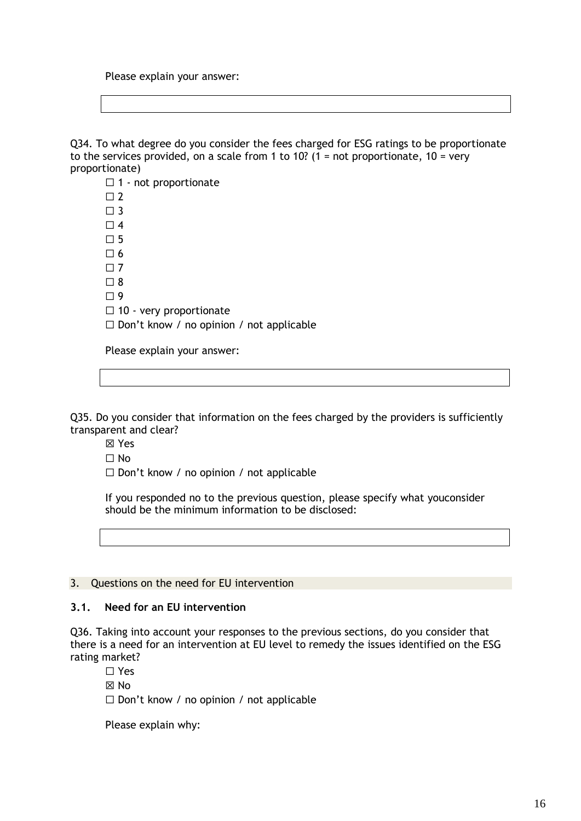Please explain your answer:

Q34. To what degree do you consider the fees charged for ESG ratings to be proportionate to the services provided, on a scale from 1 to 10? (1 = not proportionate,  $10 = \text{very}$ proportionate)

 $\Box$  1 - not proportionate  $\Box$  2  $\Box$  3  $\Box$  4  $\Box$  5  $\Box$  6  $\Box$  7  $\square$  8  $\Box$  9  $\Box$  10 - very proportionate ☐ Don't know / no opinion / not applicable Please explain your answer:

Q35. Do you consider that information on the fees charged by the providers is sufficiently transparent and clear?

☒ Yes

 $\Box$  No

☐ Don't know / no opinion / not applicable

If you responded no to the previous question, please specify what youconsider should be the minimum information to be disclosed:

#### 3. Questions on the need for EU intervention

### **3.1. Need for an EU intervention**

Q36. Taking into account your responses to the previous sections, do you consider that there is a need for an intervention at EU level to remedy the issues identified on the ESG rating market?

☐ Yes

☒ No

 $\Box$  Don't know / no opinion / not applicable

Please explain why: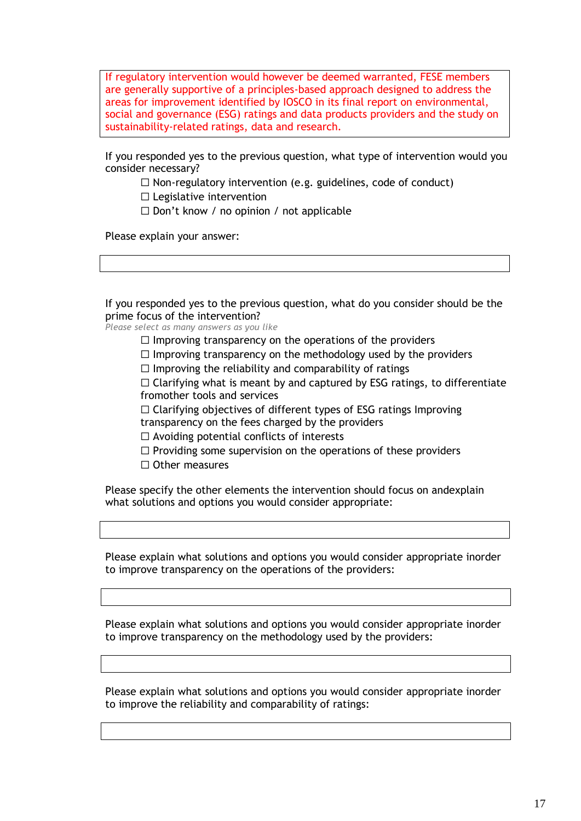If regulatory intervention would however be deemed warranted, FESE members are generally supportive of a principles-based approach designed to address the areas for improvement identified by IOSCO in its final report on environmental, social and governance (ESG) ratings and data products providers and the study on sustainability-related ratings, data and research.

If you responded yes to the previous question, what type of intervention would you consider necessary?

 $\Box$  Non-regulatory intervention (e.g. guidelines, code of conduct)

☐ Legislative intervention

 $\Box$  Don't know / no opinion / not applicable

Please explain your answer:

If you responded yes to the previous question, what do you consider should be the prime focus of the intervention?

*Please select as many answers as you like*

 $\Box$  Improving transparency on the operations of the providers

 $\Box$  Improving transparency on the methodology used by the providers

 $\Box$  Improving the reliability and comparability of ratings

 $\Box$  Clarifying what is meant by and captured by ESG ratings, to differentiate fromother tools and services

 $\Box$  Clarifying objectives of different types of ESG ratings Improving transparency on the fees charged by the providers

 $\Box$  Avoiding potential conflicts of interests

- $\Box$  Providing some supervision on the operations of these providers
- □ Other measures

Please specify the other elements the intervention should focus on andexplain what solutions and options you would consider appropriate:

Please explain what solutions and options you would consider appropriate inorder to improve transparency on the operations of the providers:

Please explain what solutions and options you would consider appropriate inorder to improve transparency on the methodology used by the providers:

Please explain what solutions and options you would consider appropriate inorder to improve the reliability and comparability of ratings: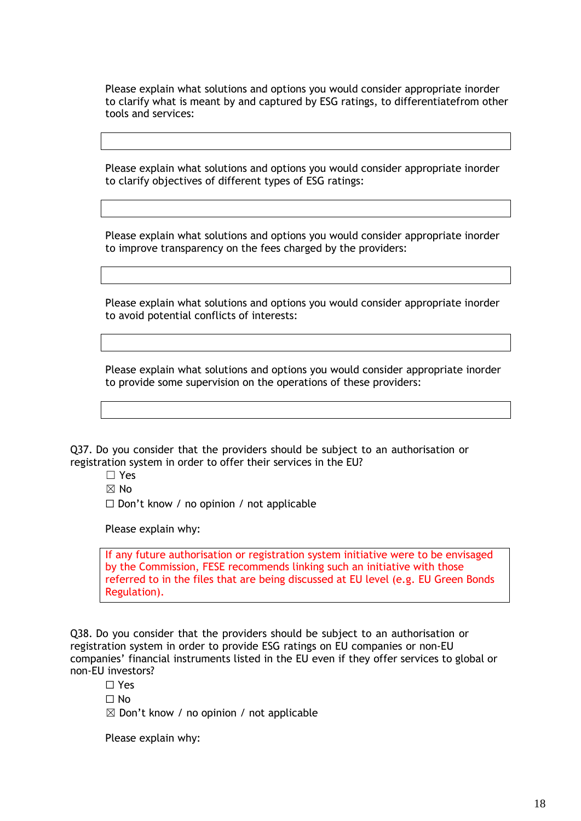Please explain what solutions and options you would consider appropriate inorder to clarify what is meant by and captured by ESG ratings, to differentiatefrom other tools and services:

Please explain what solutions and options you would consider appropriate inorder to clarify objectives of different types of ESG ratings:

Please explain what solutions and options you would consider appropriate inorder to improve transparency on the fees charged by the providers:

Please explain what solutions and options you would consider appropriate inorder to avoid potential conflicts of interests:

Please explain what solutions and options you would consider appropriate inorder to provide some supervision on the operations of these providers:

Q37. Do you consider that the providers should be subject to an authorisation or registration system in order to offer their services in the EU?

- ☐ Yes
- $\boxtimes$  No

 $\Box$  Don't know / no opinion / not applicable

Please explain why:

If any future authorisation or registration system initiative were to be envisaged by the Commission, FESE recommends linking such an initiative with those referred to in the files that are being discussed at EU level (e.g. EU Green Bonds Regulation).

Q38. Do you consider that the providers should be subject to an authorisation or registration system in order to provide ESG ratings on EU companies or non-EU companies' financial instruments listed in the EU even if they offer services to global or non-EU investors?

☐ Yes

 $\Box$  No

 $\boxtimes$  Don't know / no opinion / not applicable

Please explain why: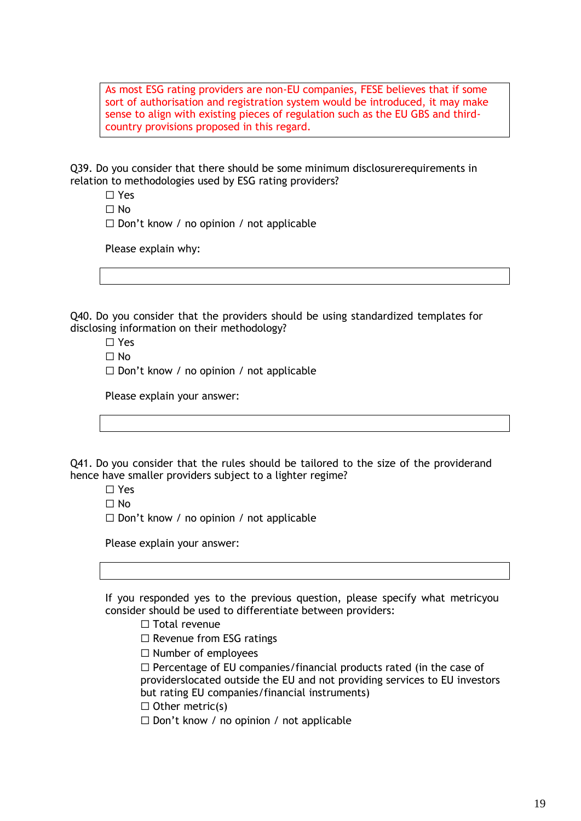As most ESG rating providers are non-EU companies, FESE believes that if some sort of authorisation and registration system would be introduced, it may make sense to align with existing pieces of regulation such as the EU GBS and thirdcountry provisions proposed in this regard.

Q39. Do you consider that there should be some minimum disclosurerequirements in relation to methodologies used by ESG rating providers?

- ☐ Yes
- $\Box$  No
- $\Box$  Don't know / no opinion / not applicable

Please explain why:

Q40. Do you consider that the providers should be using standardized templates for disclosing information on their methodology?

- ☐ Yes
- $\Box$  No
- ☐ Don't know / no opinion / not applicable

Please explain your answer:

Q41. Do you consider that the rules should be tailored to the size of the providerand hence have smaller providers subject to a lighter regime?

- ☐ Yes
- $\Box$  No

 $\Box$  Don't know / no opinion / not applicable

Please explain your answer:

If you responded yes to the previous question, please specify what metricyou consider should be used to differentiate between providers:

- □ Total revenue
- □ Revenue from ESG ratings
- ☐ Number of employees

☐ Percentage of EU companies/financial products rated (in the case of providerslocated outside the EU and not providing services to EU investors but rating EU companies/financial instruments)

 $\Box$  Other metric(s)

☐ Don't know / no opinion / not applicable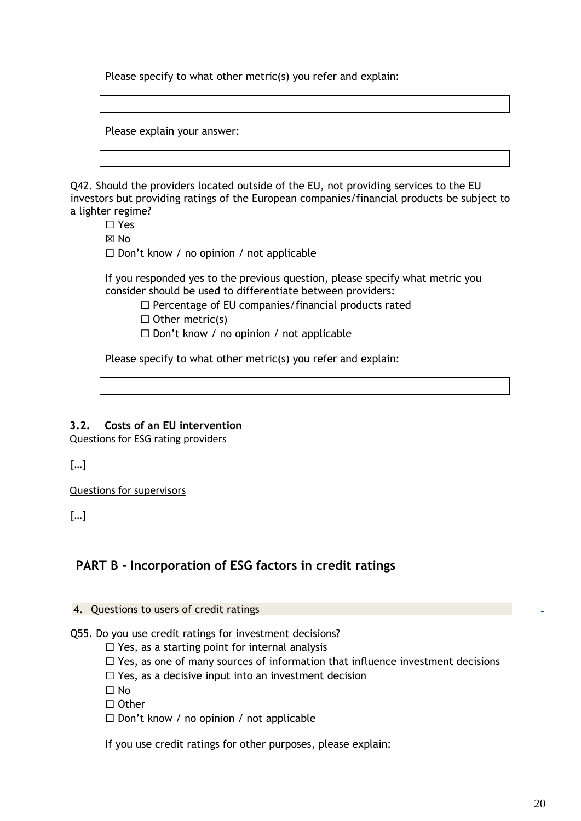Please specify to what other metric(s) you refer and explain:

Please explain your answer:

Q42. Should the providers located outside of the EU, not providing services to the EU investors but providing ratings of the European companies/financial products be subject to a lighter regime?

- ☐ Yes
- ☒ No

 $\Box$  Don't know / no opinion / not applicable

If you responded yes to the previous question, please specify what metric you consider should be used to differentiate between providers:

- ☐ Percentage of EU companies/financial products rated
- $\Box$  Other metric(s)
- ☐ Don't know / no opinion / not applicable

Please specify to what other metric(s) you refer and explain:

# **3.2. Costs of an EU intervention**

Questions for ESG rating providers

[…]

Questions for supervisors

[…]

# **PART B - Incorporation of ESG factors in credit ratings**

### 4. Questions to users of credit ratings

Q55. Do you use credit ratings for investment decisions?

 $\Box$  Yes, as a starting point for internal analysis

 $\Box$  Yes, as one of many sources of information that influence investment decisions

 $\Box$  Yes, as a decisive input into an investment decision

 $\Box$  No

☐ Other

☐ Don't know / no opinion / not applicable

If you use credit ratings for other purposes, please explain: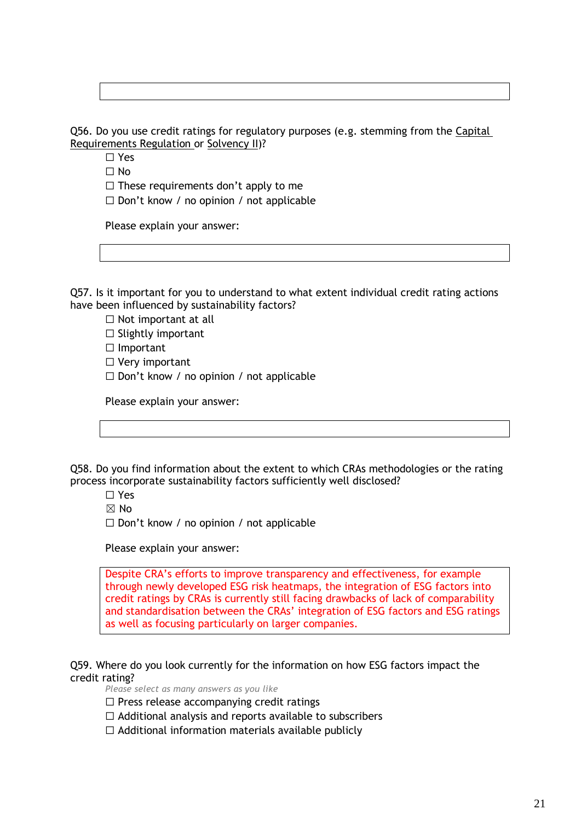Q56. Do you use credit ratings for regulatory purposes (e.g. stemming from the Capital [Requirements Regulation o](https://eur-lex.europa.eu/legal-content/EN/TXT/?uri=CELEX%3A32013R0575)r [Solvency II\)](https://eur-lex.europa.eu/legal-content/EN/TXT/?uri=CELEX%3A32009L0138)?

☐ Yes

☐ No

 $\Box$  These requirements don't apply to me

☐ Don't know / no opinion / not applicable

Please explain your answer:

Q57. Is it important for you to understand to what extent individual credit rating actions have been influenced by sustainability factors?

☐ Not important at all

 $\Box$  Slightly important

□ Important

□ Very important

☐ Don't know / no opinion / not applicable

Please explain your answer:

Q58. Do you find information about the extent to which CRAs methodologies or the rating process incorporate sustainability factors sufficiently well disclosed?

☐ Yes

 $\boxtimes$  No

☐ Don't know / no opinion / not applicable

Please explain your answer:

Despite CRA's efforts to improve transparency and effectiveness, for example through newly developed ESG risk heatmaps, the integration of ESG factors into credit ratings by CRAs is currently still facing drawbacks of lack of comparability and standardisation between the CRAs' integration of ESG factors and ESG ratings as well as focusing particularly on larger companies.

Q59. Where do you look currently for the information on how ESG factors impact the credit rating?

*Please select as many answers as you like*

☐ Press release accompanying credit ratings

 $\Box$  Additional analysis and reports available to subscribers

 $\Box$  Additional information materials available publicly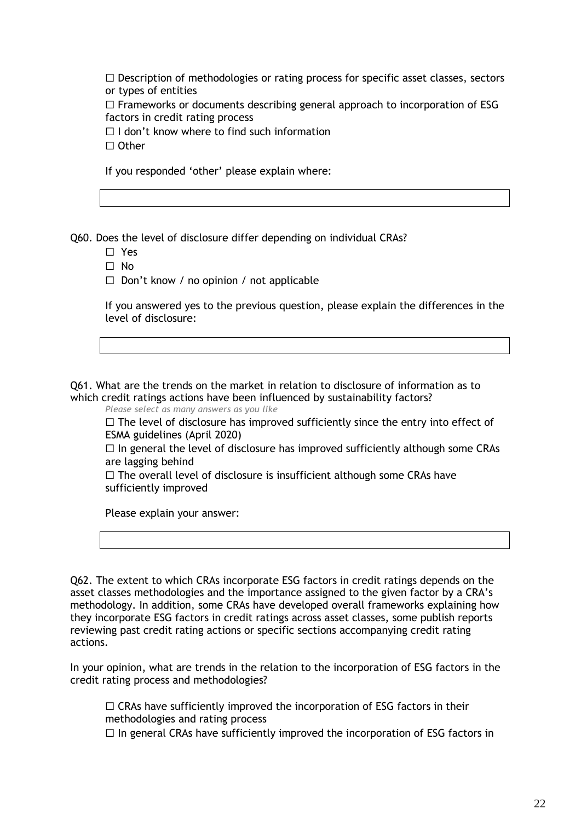$\Box$  Description of methodologies or rating process for specific asset classes, sectors or types of entities

 $\Box$  Frameworks or documents describing general approach to incorporation of ESG factors in credit rating process

 $\Box$  I don't know where to find such information

☐ Other

If you responded 'other' please explain where:

Q60. Does the level of disclosure differ depending on individual CRAs?

- ☐ Yes
- ☐ No

☐ Don't know / no opinion / not applicable

If you answered yes to the previous question, please explain the differences in the level of disclosure:

Q61. What are the trends on the market in relation to disclosure of information as to which credit ratings actions have been influenced by sustainability factors?

*Please select as many answers as you like*

 $\Box$  The level of disclosure has improved sufficiently since the entry into effect of ESMA guidelines (April 2020)

 $\Box$  In general the level of disclosure has improved sufficiently although some CRAs are lagging behind

☐ The overall level of disclosure is insufficient although some CRAs have sufficiently improved

Please explain your answer:

Q62. The extent to which CRAs incorporate ESG factors in credit ratings depends on the asset classes methodologies and the importance assigned to the given factor by a CRA's methodology. In addition, some CRAs have developed overall frameworks explaining how they incorporate ESG factors in credit ratings across asset classes, some publish reports reviewing past credit rating actions or specific sections accompanying credit rating actions.

In your opinion, what are trends in the relation to the incorporation of ESG factors in the credit rating process and methodologies?

 $\Box$  CRAs have sufficiently improved the incorporation of ESG factors in their methodologies and rating process

 $\Box$  In general CRAs have sufficiently improved the incorporation of ESG factors in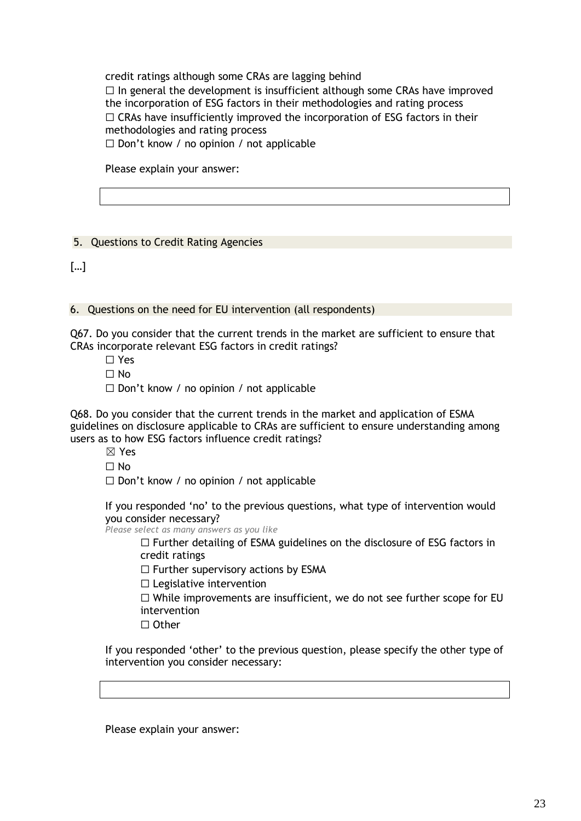credit ratings although some CRAs are lagging behind  $\Box$  In general the development is insufficient although some CRAs have improved the incorporation of ESG factors in their methodologies and rating process  $\Box$  CRAs have insufficiently improved the incorporation of ESG factors in their methodologies and rating process ☐ Don't know / no opinion / not applicable

Please explain your answer:

# 5. Questions to Credit Rating Agencies

[…]

6. Questions on the need for EU intervention (all respondents)

Q67. Do you consider that the current trends in the market are sufficient to ensure that CRAs incorporate relevant ESG factors in credit ratings?

- ☐ Yes
- ☐ No
- ☐ Don't know / no opinion / not applicable

Q68. Do you consider that the current trends in the market and application of ESMA guidelines on disclosure applicable to CRAs are sufficient to ensure understanding among users as to how ESG factors influence credit ratings?

☒ Yes

 $\Box$  No

 $\Box$  Don't know / no opinion / not applicable

If you responded 'no' to the previous questions, what type of intervention would you consider necessary?

*Please select as many answers as you like*

☐ Further detailing of ESMA guidelines on the disclosure of ESG factors in credit ratings

 $\Box$  Further supervisory actions by ESMA

 $\Box$  Legislative intervention

 $\Box$  While improvements are insufficient, we do not see further scope for EU intervention

☐ Other

If you responded 'other' to the previous question, please specify the other type of intervention you consider necessary:

Please explain your answer: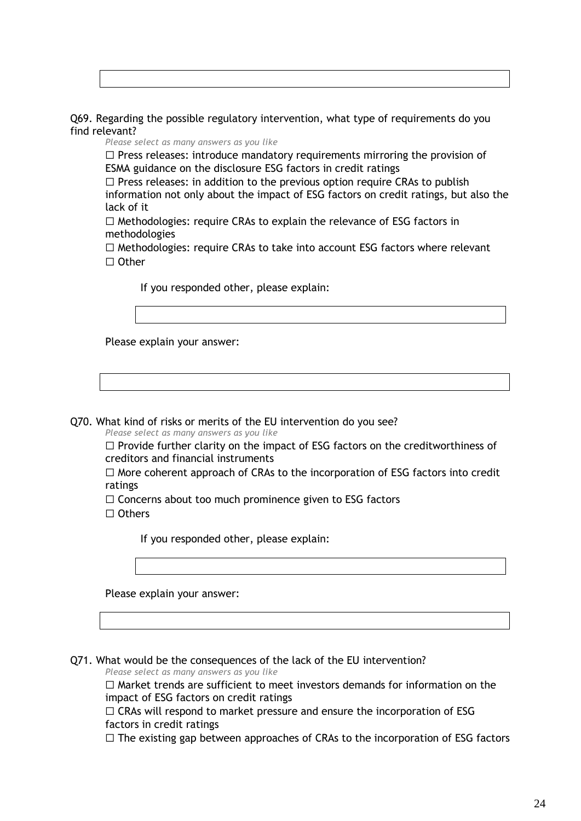Q69. Regarding the possible regulatory intervention, what type of requirements do you find relevant?

*Please select as many answers as you like*

 $\Box$  Press releases: introduce mandatory requirements mirroring the provision of ESMA guidance on the disclosure ESG factors in credit ratings

 $\Box$  Press releases: in addition to the previous option require CRAs to publish information not only about the impact of ESG factors on credit ratings, but also the lack of it

☐ Methodologies: require CRAs to explain the relevance of ESG factors in methodologies

☐ Methodologies: require CRAs to take into account ESG factors where relevant ☐ Other

If you responded other, please explain:

Please explain your answer:

Q70. What kind of risks or merits of the EU intervention do you see?

*Please select as many answers as you like*

 $\Box$  Provide further clarity on the impact of ESG factors on the creditworthiness of creditors and financial instruments

 $\Box$  More coherent approach of CRAs to the incorporation of ESG factors into credit ratings

□ Concerns about too much prominence given to ESG factors

☐ Others

If you responded other, please explain:

Please explain your answer:

Q71. What would be the consequences of the lack of the EU intervention?

*Please select as many answers as you like*

☐ Market trends are sufficient to meet investors demands for information on the impact of ESG factors on credit ratings

 $\Box$  CRAs will respond to market pressure and ensure the incorporation of ESG factors in credit ratings

 $\Box$  The existing gap between approaches of CRAs to the incorporation of ESG factors